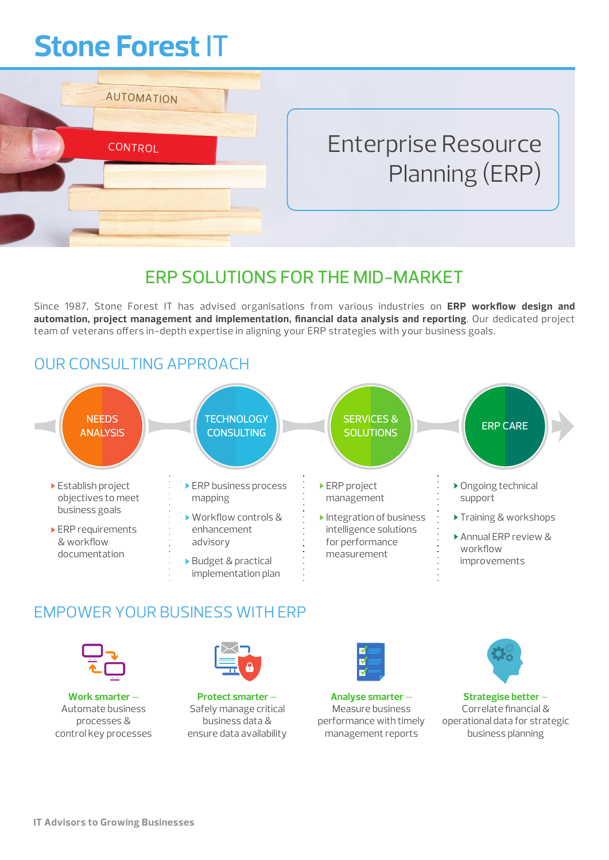# **Stone Forest** IT



# ERP SOLUTIONS FOR THE MID-MARKET

Since 1987, Stone Forest IT has advised organisations from various industries on **ERP workflow design and automation, project management and implementation, financial data analysis and reporting**. Our dedicated project team of veterans offers in-depth expertise in aligning your ERP strategies with your business goals.

## OUR CONSULTING APPROACH



# EMPOWER YOUR BUSINESS WITH ERP



**Work smarter** – Automate business processes & control key processes



**Protect smarter** – Safely manage critical business data & ensure data availability



**Analyse smarter** – Measure business performance with timely management reports



**Strategise better** – Correlate financial & operational data for strategic business planning